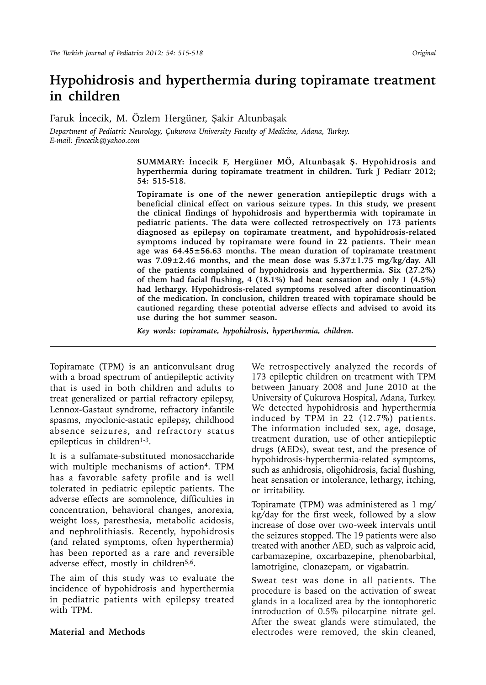# **Hypohidrosis and hyperthermia during topiramate treatment in children**

Faruk İncecik, M. Özlem Hergüner, Şakir Altunbaşak

*Department of Pediatric Neurology, Çukurova University Faculty of Medicine, Adana, Turkey. E-mail: fincecik@yahoo.com*

> **SUMMARY: İncecik F, Hergüner MÖ, Altunbaşak Ş. Hypohidrosis and hyperthermia during topiramate treatment in children. Turk J Pediatr 2012; 54: 515-518.**

> **Topiramate is one of the newer generation antiepileptic drugs with a beneficial clinical effect on various seizure types. In this study, we present the clinical findings of hypohidrosis and hyperthermia with topiramate in pediatric patients. The data were collected retrospectively on 173 patients diagnosed as epilepsy on topiramate treatment, and hypohidrosis-related symptoms induced by topiramate were found in 22 patients. Their mean age was 64.45±56.63 months. The mean duration of topiramate treatment was 7.09±2.46 months, and the mean dose was 5.37±1.75 mg/kg/day. All of the patients complained of hypohidrosis and hyperthermia. Six (27.2%) of them had facial flushing, 4 (18.1%) had heat sensation and only 1 (4.5%) had lethargy. Hypohidrosis-related symptoms resolved after discontinuation of the medication. In conclusion, children treated with topiramate should be cautioned regarding these potential adverse effects and advised to avoid its use during the hot summer season.**

*Key words: topiramate, hypohidrosis, hyperthermia, children.*

Topiramate (TPM) is an anticonvulsant drug with a broad spectrum of antiepileptic activity that is used in both children and adults to treat generalized or partial refractory epilepsy, Lennox-Gastaut syndrome, refractory infantile spasms, myoclonic-astatic epilepsy, childhood absence seizures, and refractory status epilepticus in children<sup>1-3</sup>.

It is a sulfamate-substituted monosaccharide with multiple mechanisms of action<sup>4</sup>. TPM has a favorable safety profile and is well tolerated in pediatric epileptic patients. The adverse effects are somnolence, difficulties in concentration, behavioral changes, anorexia, weight loss, paresthesia, metabolic acidosis, and nephrolithiasis. Recently, hypohidrosis (and related symptoms, often hyperthermia) has been reported as a rare and reversible adverse effect, mostly in children<sup>5,6</sup>.

The aim of this study was to evaluate the incidence of hypohidrosis and hyperthermia in pediatric patients with epilepsy treated with TPM.

#### **Material and Methods**

We retrospectively analyzed the records of 173 epileptic children on treatment with TPM between January 2008 and June 2010 at the University of Çukurova Hospital, Adana, Turkey. We detected hypohidrosis and hyperthermia induced by TPM in 22 (12.7%) patients. The information included sex, age, dosage, treatment duration, use of other antiepileptic drugs (AEDs), sweat test, and the presence of hypohidrosis-hyperthermia-related symptoms, such as anhidrosis, oligohidrosis, facial flushing, heat sensation or intolerance, lethargy, itching, or irritability.

Topiramate (TPM) was administered as 1 mg/ kg/day for the first week, followed by a slow increase of dose over two-week intervals until the seizures stopped. The 19 patients were also treated with another AED, such as valproic acid, carbamazepine, oxcarbazepine, phenobarbital, lamotrigine, clonazepam, or vigabatrin.

Sweat test was done in all patients. The procedure is based on the activation of sweat glands in a localized area by the iontophoretic introduction of 0.5% pilocarpine nitrate gel. After the sweat glands were stimulated, the electrodes were removed, the skin cleaned,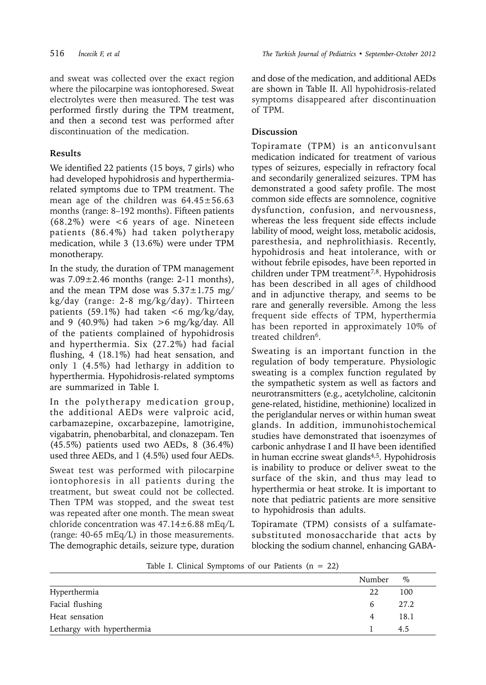and sweat was collected over the exact region where the pilocarpine was iontophoresed. Sweat electrolytes were then measured. The test was performed firstly during the TPM treatment, and then a second test was performed after discontinuation of the medication.

## **Results**

We identified 22 patients (15 boys, 7 girls) who had developed hypohidrosis and hyperthermiarelated symptoms due to TPM treatment. The mean age of the children was  $64.45 \pm 56.63$ months (range: 8–192 months). Fifteen patients (68.2%) were <6 years of age. Nineteen patients (86.4%) had taken polytherapy medication, while 3 (13.6%) were under TPM monotherapy.

In the study, the duration of TPM management was  $7.09 \pm 2.46$  months (range: 2-11 months), and the mean TPM dose was  $5.37 \pm 1.75$  mg/ kg/day (range: 2-8 mg/kg/day). Thirteen patients (59.1%) had taken  $<6$  mg/kg/day, and 9  $(40.9\%)$  had taken >6 mg/kg/day. All of the patients complained of hypohidrosis and hyperthermia. Six (27.2%) had facial flushing, 4 (18.1%) had heat sensation, and only 1 (4.5%) had lethargy in addition to hyperthermia. Hypohidrosis-related symptoms are summarized in Table I.

In the polytherapy medication group, the additional AEDs were valproic acid, carbamazepine, oxcarbazepine, lamotrigine, vigabatrin, phenobarbital, and clonazepam. Ten (45.5%) patients used two AEDs, 8 (36.4%) used three AEDs, and 1 (4.5%) used four AEDs.

Sweat test was performed with pilocarpine iontophoresis in all patients during the treatment, but sweat could not be collected. Then TPM was stopped, and the sweat test was repeated after one month. The mean sweat chloride concentration was  $47.14 \pm 6.88$  mEq/L (range: 40-65 mEq/L) in those measurements. The demographic details, seizure type, duration

and dose of the medication, and additional AEDs are shown in Table II. All hypohidrosis-related symptoms disappeared after discontinuation of TPM.

## **Discussion**

Topiramate (TPM) is an anticonvulsant medication indicated for treatment of various types of seizures, especially in refractory focal and secondarily generalized seizures. TPM has demonstrated a good safety profile. The most common side effects are somnolence, cognitive dysfunction, confusion, and nervousness, whereas the less frequent side effects include lability of mood, weight loss, metabolic acidosis, paresthesia, and nephrolithiasis. Recently, hypohidrosis and heat intolerance, with or without febrile episodes, have been reported in children under TPM treatment<sup>7,8</sup>. Hypohidrosis has been described in all ages of childhood and in adjunctive therapy, and seems to be rare and generally reversible. Among the less frequent side effects of TPM, hyperthermia has been reported in approximately 10% of treated children<sup>6</sup>.

Sweating is an important function in the regulation of body temperature. Physiologic sweating is a complex function regulated by the sympathetic system as well as factors and neurotransmitters (e.g., acetylcholine, calcitonin gene-related, histidine, methionine) localized in the periglandular nerves or within human sweat glands. In addition, immunohistochemical studies have demonstrated that isoenzymes of carbonic anhydrase I and II have been identified in human eccrine sweat glands<sup>4,5</sup>. Hypohidrosis is inability to produce or deliver sweat to the surface of the skin, and thus may lead to hyperthermia or heat stroke. It is important to note that pediatric patients are more sensitive to hypohidrosis than adults.

Topiramate (TPM) consists of a sulfamatesubstituted monosaccharide that acts by blocking the sodium channel, enhancing GABA-

| Table I. Clinical Symptoms of our Patients $(n = 22)$ |  |  |  |
|-------------------------------------------------------|--|--|--|
|-------------------------------------------------------|--|--|--|

|                            | Number   | $\%$ |
|----------------------------|----------|------|
| Hyperthermia               | 22       | 100  |
| Facial flushing            | $\sigma$ | 27.2 |
| Heat sensation             | 4        | 18.1 |
| Lethargy with hyperthermia |          | 4.5  |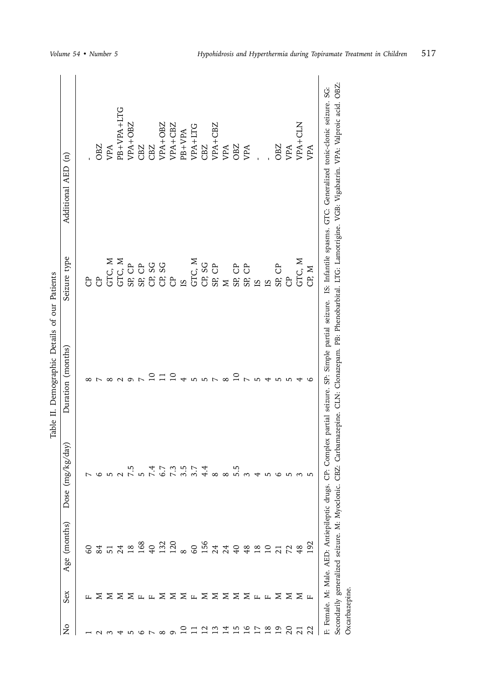|                |                                                |                                               |                                  | Table II. Demographic Details of our Patients |                       |                                                                                                                       |
|----------------|------------------------------------------------|-----------------------------------------------|----------------------------------|-----------------------------------------------|-----------------------|-----------------------------------------------------------------------------------------------------------------------|
| ž              | Sex                                            | (months)<br>Age                               | Dose $(mg/kg/day)$               | Duration (months)                             | Seizure type          | Additional AED (n)                                                                                                    |
|                | Щ.                                             |                                               | L                                |                                               | පි                    |                                                                                                                       |
|                |                                                | 8377                                          | 9                                |                                               | <b>B</b>              | OBZ                                                                                                                   |
|                |                                                |                                               |                                  | $^{\circ}$                                    | GTC, M                | VPA                                                                                                                   |
|                | <b>N X X X H H X X X X X X X X H H X X X H</b> |                                               | 5, 5, 5, 4                       |                                               | GTC, M                | PB+VPA+LTG                                                                                                            |
| 5              |                                                | $\overline{18}$                               |                                  |                                               | SP, CP                | VPA+OBZ                                                                                                               |
| $\circ$        |                                                |                                               |                                  |                                               |                       | CBZ                                                                                                                   |
| $\overline{ }$ |                                                |                                               |                                  |                                               |                       | CBZ                                                                                                                   |
| $\infty$       |                                                |                                               |                                  |                                               |                       | VPA+OBZ                                                                                                               |
| $\sigma$       |                                                |                                               |                                  |                                               |                       | VPA+CBZ                                                                                                               |
|                |                                                |                                               | $6.7$<br>$0.7$<br>$0.5$<br>$0.7$ |                                               | ഇ                     | PB+VPA                                                                                                                |
|                |                                                |                                               |                                  | 5                                             | GTC, M                | VPA+LTG                                                                                                               |
|                |                                                |                                               |                                  | 5                                             | CP, SG                | CBZ                                                                                                                   |
|                |                                                |                                               |                                  | t                                             | SP, CP                | VPA+CBZ                                                                                                               |
|                |                                                |                                               |                                  | $\infty$                                      | $\geq$                | VPA                                                                                                                   |
|                |                                                |                                               | 4.885                            | Q                                             |                       | OBZ                                                                                                                   |
| Φ              |                                                | 1922 8544982                                  |                                  |                                               | C<br>ទី<br>បាន<br>បាន | VPA                                                                                                                   |
|                |                                                |                                               | $\overline{\mathcal{A}}$         | LO.                                           |                       |                                                                                                                       |
| ≌              |                                                | $\overline{a}$                                |                                  |                                               | $\overline{5}$        |                                                                                                                       |
| $\overline{0}$ |                                                |                                               | 5 G                              | 5                                             | SP, CP                | <b>OBZ</b>                                                                                                            |
| $\overline{c}$ |                                                |                                               | 5                                | LO                                            | $\overline{c}$        | VPA                                                                                                                   |
| ន ន            |                                                | 48                                            | ന                                |                                               | GTC, M                | VPA+CLN                                                                                                               |
|                |                                                | $\mathcal{S}$                                 | ഗ                                | G                                             | CP, M                 | VPA                                                                                                                   |
|                |                                                | F: Female. M: Male. AED: Antiepileptic drugs. | Ë                                |                                               |                       | Complex partial seizure. SP: Simple partial seizure. IS: Infantile spasms. GTC: Generalized tonic-clonic seizure. SG: |

Secondarily generalized seizure. M: Myoclonic. CBZ: Carbamazepine. CLN: Clonazepam. PB: Phenobarbital. LTG: Lamotrigine. VGB: Vigabatrin. VPA: Valproic acid. OBZ:

Secondarily generalized seizure. M: Myoclonic. CBZ: Carbamazepine. CLN: Clonazepam. PB: Phenobarbital. LTG: Lamotrigine. VGB: Vigabatrin. VPA: Valproic acid. OBZ:

Oxcarbazepine.

Oxcarbazepine.